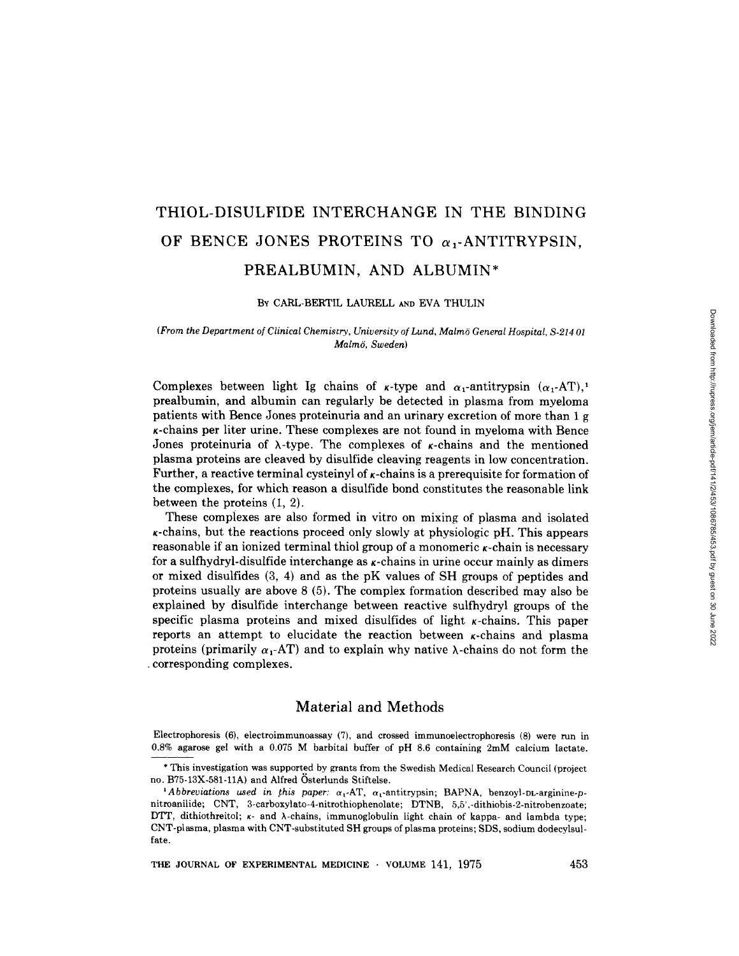# THIOL-DISULFIDE INTERCHANGE IN THE BINDING OF BENCE JONES PROTEINS TO  $\alpha$ , ANTITRYPSIN. PREALBUMIN, AND ALBUMIN\*

#### By CARL-BERTIL LAURELL AND EVA THULIN

### (From the Department of Clinical Chemistry, University of Lund, Malmo General Hospital, S-214 <sup>01</sup> Malmö, Sweden)

Complexes between light Ig chains of  $\kappa$ -type and  $\alpha_1$ -antitrypsin  $(\alpha_1-AT)$ ,' prealbumin, and albumin can regularly be detected in plasma from myeloma patients with Bence Jones proteinuria and an urinary excretion of more than 1 g  $\kappa$ -chains per liter urine. These complexes are not found in myeloma with Bence Jones proteinuria of  $\lambda$ -type. The complexes of  $\kappa$ -chains and the mentioned plasma proteins are cleaved by disulfide cleaving reagents in low concentration . Further, a reactive terminal cysteinyl of  $\kappa$ -chains is a prerequisite for formation of the complexes, for which reason a disulfide bond constitutes the reasonable link between the proteins (1, 2) .

These complexes are also formed in vitro on mixing of plasma and isolated  $\kappa$ -chains, but the reactions proceed only slowly at physiologic pH. This appears  ${\bf reasonable}$  if an ionized terminal thiol group of a monomeric  $\kappa\text{-chain}$  is necessary for a sulfhydryl-disulfide interchange as  $\kappa$ -chains in urine occur mainly as dimers or mixed disulfides (3, 4) and as the pK values of SH groups of peptides and proteins usually are above 8 (5) . The complex formation described may also be explained by disulfide interchange between reactive sulfhydryl groups of the  $s$ pecific plasma proteins and mixed disulfides of light  $\kappa$ -chains. This paper reports an attempt to elucidate the reaction between  $\kappa$ -chains and plasma proteins (primarily  $\alpha_1$ -AT) and to explain why native  $\lambda$ -chains do not form the - corresponding complexes .

## Material and Methods

Electrophoresis (6), electroimmunoassay (7), and crossed immunoelectrophoresis (8) were run in 0.8% agarose gel with a 0.075 M barbital buffer of pH 8.6 containing 2mM calcium lactate.

THE JOURNAL OF EXPERIMENTAL MEDICINE  $\cdot$  volume 141, 1975  $\hspace{1.5cm}$  453

<sup>\*</sup> This investigation was supported by grants from the Swedish Medical Research Council (project no . B75-13X-581-11A) and Alfred Osterlunds Stiftelse .

<sup>&</sup>lt;sup>1</sup>Abbreviations used in this paper:  $\alpha_1$ -AT,  $\alpha_1$ -antitrypsin; BAPNA, benzoyl-DL-arginine-pnitroanilide; CNT, 3-carboxylato-4-nitrothiophenolate; DTNB, 5,5',-dithiobis-2-nitrobenzoate; DTT, dithiothreitol; *k*- and *λ*-chains, immunoglobulin light chain of kappa- and lambda type; CNT-plasma, plasma with CNT-substituted SH groups of plasma proteins ; SDS, sodium dodecylsulfate.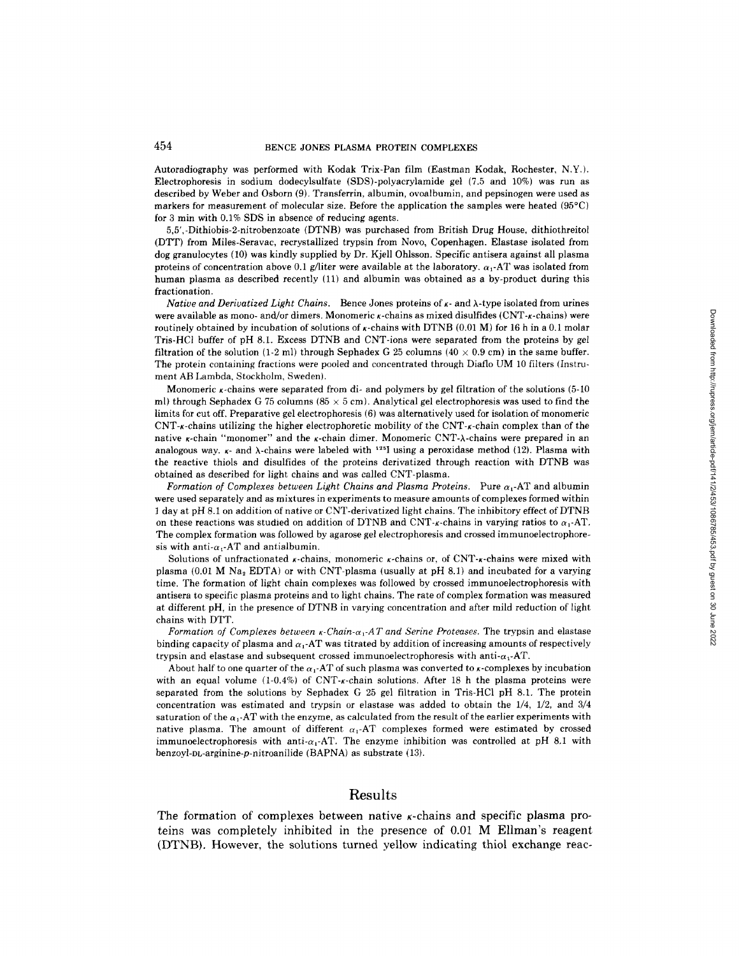Autoradiography was performed with Kodak Trix-Pan film (Eastman Kodak, Rochester, N.Y.). Electrophoresis in sodium dodecylsulfate (SDS)-polyacrylamide gel (7 .5 and 10%) was run as described by Weber and Osborn (9) . Transferrin, albumin, ovoalbumin, and pepsinogen were used as markers for measurement of molecular size . Before the application the samples were heated (95°C) for 3 min with  $0.1\%$  SDS in absence of reducing agents.

5,5',-Dithiobis-2-nitrobenzoate (DTNB) was purchased from British Drug House, dithiothreitol (DTT) from Miles-Seravac, recrystallized trypsin from Novo, Copenhagen . Elastase isolated from dog granulocytes (10) was kindly supplied by Dr. Kjell Ohlsson. Specific antisera against all plasma proteins of concentration above 0.1 g/liter were available at the laboratory.  $\alpha_1$ -AT was isolated from human plasma as described recently (11) and albumin was obtained as a by-product during this fractionation .

Native and Derivatized Light Chains. Bence Jones proteins of  $\kappa$ - and  $\lambda$ -type isolated from urines were available as mono- and/or dimers. Monomeric  $\kappa$ -chains as mixed disulfides (CNT- $\kappa$ -chains) were routinely obtained by incubation of solutions of  $\kappa$ -chains with DTNB (0.01 M) for 16 h in a 0.1 molar Tris-HCI buffer of pH 8.1 . Excess DTNB and CNT-ions were separated from the proteins by gel filtration of the solution (1-2 ml) through Sephadex G 25 columns (40  $\times$  0.9 cm) in the same buffer. The protein containing fractions were pooled and concentrated through Diaflo UM <sup>10</sup> filters (Instrument AB Lambda, Stockholm, Sweden).

Monomeric  $\kappa$ -chains were separated from di- and polymers by gel filtration of the solutions (5-10) ml) through Sephadex G 75 columns (85  $\times$  5 cm). Analytical gel electrophoresis was used to find the limits for cut off. Preparative gel electrophoresis (6) was alternatively used for isolation of monomeric  $CNT$ -chains utilizing the higher electrophoretic mobility of the CNT- $\kappa$ -chain complex than of the native  $\kappa$ -chain "monomer" and the  $\kappa$ -chain dimer. Monomeric CNT- $\lambda$ -chains were prepared in an analogous way.  $\kappa$ - and  $\lambda$ -chains were labeled with <sup>125</sup>I using a peroxidase method (12). Plasma with the reactive thiols and disulfides of the proteins derivatized through reaction with DTNB was obtained as described for light chains and was called CNT-plasma.

Formation of Complexes between Light Chains and Plasma Proteins. Pure  $\alpha_1$ -AT and albumin were used separately and as mixtures in experiments to measure amounts of complexes formed within <sup>1</sup> day at pH 8.1 on addition of native or CNT-derivatized light chains . The inhibitory effect of DTNB on these reactions was studied on addition of DTNB and CNT- $\kappa$ -chains in varying ratios to  $\alpha_1$ -AT. The complex formation was followed by agarose gel electrophoresis and crossed immunoelectrophoresis with anti- $\alpha_1$ -AT and antialbumin.

Solutions of unfractionated  $\kappa$ -chains, monomeric  $\kappa$ -chains or, of CNT- $\kappa$ -chains were mixed with bolutions of unifactionated *A*-chains, monofiert *A*-chains of, of CNT-*A*-chains were infact with plasma  $(0.01 M Na<sub>2</sub> EDTA)$  or with CNT-plasma  $(usually at pH 8.1)$  and incubated for a varying time . The formation of light chain complexes was followed by crossed immunoelectrophoresis with antisera to specific plasma proteins and to light chains . The rate of complex formation was measured at different pH, in the presence of DTNB in varying concentration and after mild reduction of light chains with DTT.

Formation of Complexes between  $\kappa$ -Chain- $\alpha_1$ -AT and Serine Proteases. The trypsin and elastase binding capacity of plasma and  $\alpha_1$ -AT was titrated by addition of increasing amounts of respectively trypsin and elastase and subsequent crossed immunoelectrophoresis with anti- $\alpha_1$ -AT.

About half to one quarter of the  $\alpha_1$ -AT of such plasma was converted to  $\kappa$ -complexes by incubation with an equal volume  $(1-0.4%)$  of CNT- $\kappa$ -chain solutions. After 18 h the plasma proteins were separated from the solutions by Sephadex G <sup>25</sup> gel filtration in Tris-HCl pH 8.1 . The protein concentration was estimated and trypsin or elastase was added to obtain the 1/4, 1/2, and 3/4 saturation of the  $\alpha_1$ -AT with the enzyme, as calculated from the result of the earlier experiments with native plasma. The amount of different  $\alpha_1$ -AT complexes formed were estimated by crossed immunoelectrophoresis with anti- $\alpha_1$ -AT. The enzyme inhibition was controlled at pH 8.1 with benzoyl-DL-arginine-p-nitroanilide (BAPNA) as substrate (13).

## Results

The formation of complexes between native  $\kappa$ -chains and specific plasma proteins was completely inhibited in the presence of 0.01 M Ellman's reagent (DTNB). However, the solutions turned yellow indicating thiol exchange reac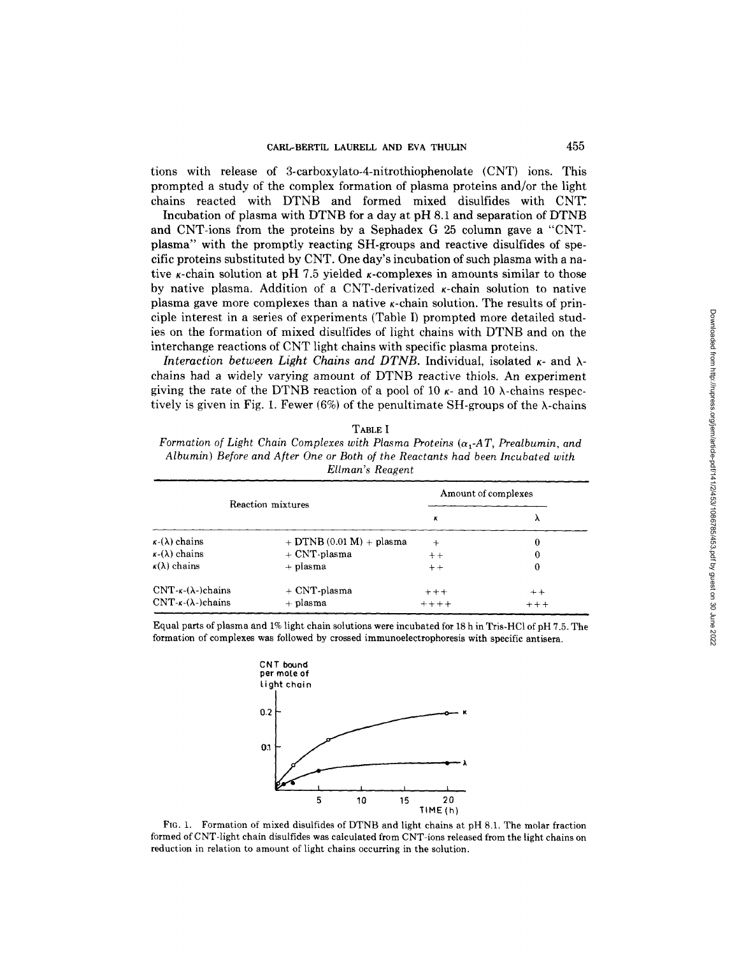tions with release of 3-carboxylato-4-nitrothiophenolate (CNT) ions . This prompted a study of the complex formation of plasma proteins and/or the light chains reacted with DTNB and formed mixed disulfides with CNT`.

Incubation of plasma with DTNB for <sup>a</sup> day at pH 8.1 and separation of DTNB and CNT-ions from the proteins by <sup>a</sup> Sephadex G <sup>25</sup> column gave a "CNTplasma" with the promptly reacting SH-groups and reactive disulfides of specific proteins substituted by CNT. One day's incubation of such plasma with <sup>a</sup> native  $\kappa$ -chain solution at pH 7.5 yielded  $\kappa$ -complexes in amounts similar to those by native plasma. Addition of a CNT-derivatized  $\kappa$ -chain solution to native plasma gave more complexes than a native  $\kappa$ -chain solution. The results of principle interest in a series of experiments (Table I) prompted more detailed studies on the formation of mixed disulfides of light chains with DTNB and on the interchange reactions of CNT light chains with specific plasma proteins .

Interaction between Light Chains and DTNB. Individual, isolated  $\kappa$ - and  $\lambda$ chains had a widely varying amount of DTNB reactive thiols. An experiment giving the rate of the DTNB reaction of a pool of 10  $\kappa$ - and 10  $\lambda$ -chains respectively is given in Fig. 1. Fewer (6%) of the penultimate SH-groups of the  $\lambda$ -chains

TABLE I

Formation of Light Chain Complexes with Plasma Proteins  $(\alpha, A T, P$ realbumin, and Albumin) Before and After One or Both of the Reactants had been Incubated with Ellman's Reagent

| Reaction mixtures              |                            | Amount of complexes |         |
|--------------------------------|----------------------------|---------------------|---------|
|                                |                            | к                   | ۸       |
| $\kappa$ -( $\lambda$ ) chains | $+$ DTNB (0.01 M) + plasma | $\div$              | 0       |
| $\kappa$ -( $\lambda$ ) chains | + CNT-plasma               | $++$                | 0       |
| $\kappa(\lambda)$ chains       | + plasma                   | $+ +$               | 0       |
| $CNT-x-(\lambda-)chains$       | $+$ CNT-plasma             | $++++$              | $+ +$   |
| $CNT-x-(\lambda-)chains$       | + plasma                   | $+ + + +$           | $+ + +$ |

Equal parts of plasma and 1% light chain solutions were incubated for 18 h in Tris-HCI of pH 7.5 . The formation of complexes was followed by crossed immunoelectrophoresis with specific antisera .



FIG. 1. Formation of mixed disulfides of DTNB and light chains at pH 8.1. The molar fraction formed of CNT-light chain disulfides was calculated from CNT-ions released from the light chains on reduction in relation to amount of light chains occurring in the solution.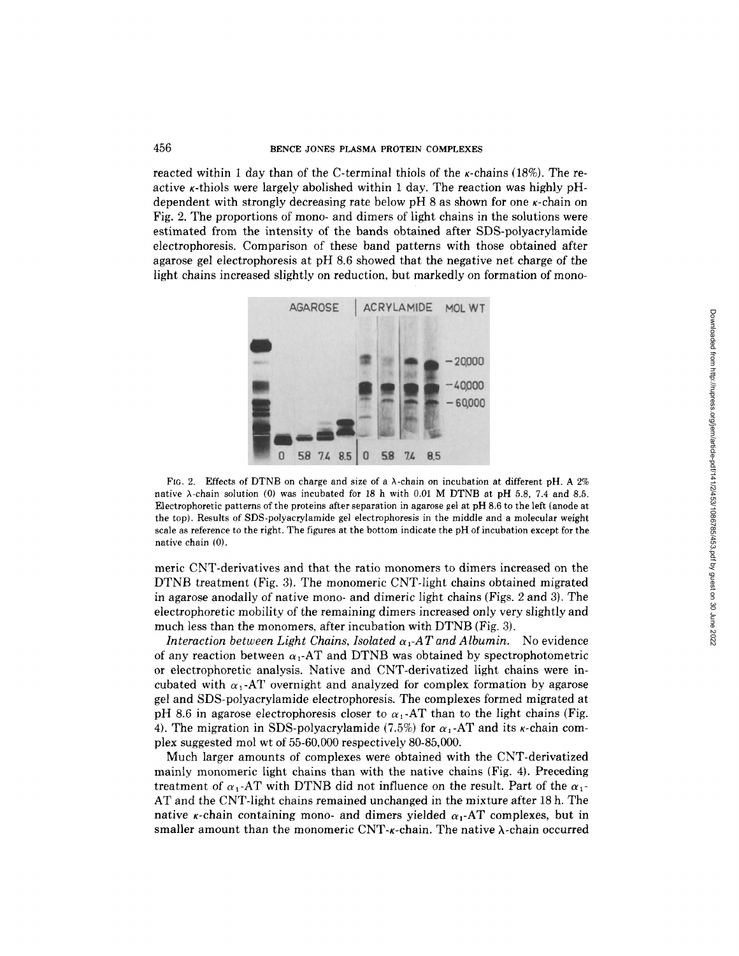reacted within 1 day than of the C-terminal thiols of the  $\kappa$ -chains (18%). The reactive  $\kappa$ -thiols were largely abolished within 1 day. The reaction was highly pHdependent with strongly decreasing rate below  $pH$  8 as shown for one  $\kappa$ -chain on Fig. 2. The proportions of mono- and dimers of light chains in the solutions were estimated from the intensity of the bands obtained after SDS-polyacrylamide electrophoresis . Comparison of these band patterns with those obtained after agarose gel electrophoresis at pH 8.6 showed that the negative net charge of the light chains increased slightly on reduction, but markedly on formation of mono-



FIG. 2. Effects of DTNB on charge and size of a  $\lambda$ -chain on incubation at different pH, A 2% native  $\lambda$ -chain solution (0) was incubated for 18 h with 0.01 M DTNB at pH 5.8, 7.4 and 8.5. Electrophoretic patterns of the proteins after separation in agarose gel at pH 8.6 to the left (anode at the top) . Results of SDS-polyacrylamide gel electrophoresis in the middle and a molecular weight scale as reference to the right . The figures at the bottom indicate the pH of incubation except for the native chain (0) .

meric CNT-derivatives and that the ratio monomers to dimers increased on the DTNB treatment (Fig. 3). The monomeric CNT-light chains obtained migrated in agarose anodally of native mono- and dimeric light chains (Figs . 2 and 3) . The electrophoretic mobility of the remaining dimers increased only very slightly and much less than the monomers, after incubation with DTNB (Fig. 3).

Interaction between Light Chains, Isolated  $\alpha_1$ -AT and Albumin. No evidence of any reaction between  $\alpha_1$ -AT and DTNB was obtained by spectrophotometric or electrophoretic analysis . Native and CNT-derivatized light chains were incubated with  $\alpha_1$ -AT overnight and analyzed for complex formation by agarose gel and SDS-polyacrylamide electrophoresis . The complexes formed migrated at pH 8.6 in agarose electrophoresis closer to  $\alpha_1$ -AT than to the light chains (Fig. 4). The migration in SDS-polyacrylamide (7.5%) for  $\alpha_1$ -AT and its *k*-chain complex suggested mol wt of 55-60,000 respectively 80-85,000.

Much larger amounts of complexes were obtained with the CNT-derivatized mainly monomeric light chains than with the native chains (Fig . 4) . Preceding treatment of  $\alpha_1$ -AT with DTNB did not influence on the result. Part of the  $\alpha_1$ -AT and the CNT-light chains remained unchanged in the mixture after <sup>18</sup> h. The native *k*-chain containing mono- and dimers yielded  $\alpha_1$ -AT complexes, but in smaller amount than the monomeric  $\text{CNT-}\kappa\text{-chain}$  . The native  $\lambda\text{-chain}$  occurred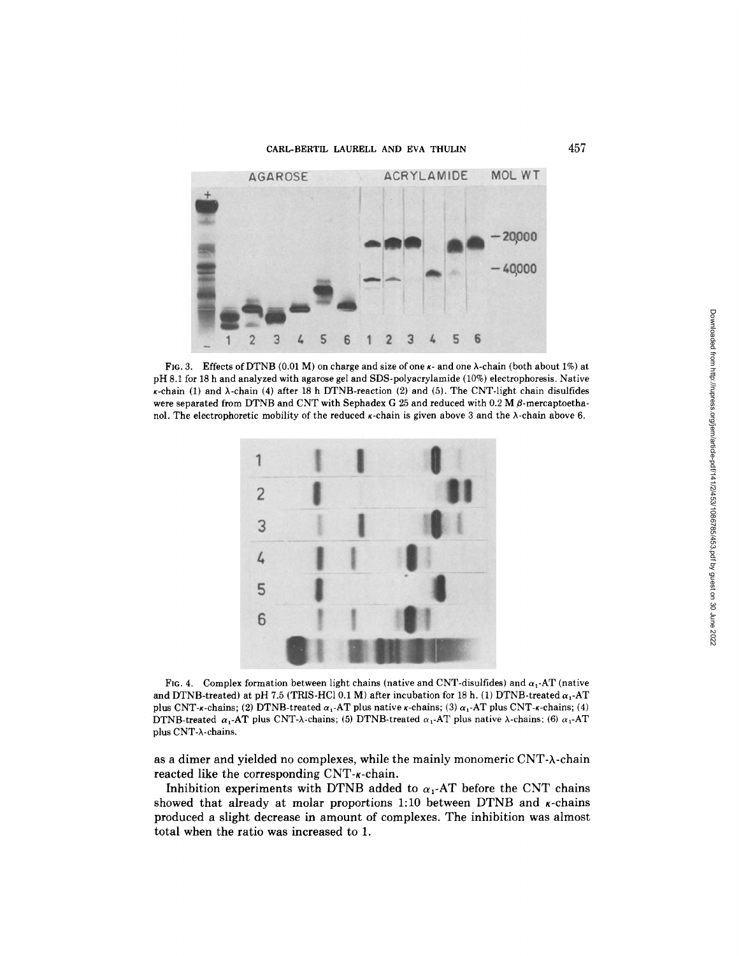

FIG. 3. Effects of DTNB (0.01 M) on charge and size of one  $\kappa$ - and one  $\lambda$ -chain (both about 1%) at pH 8.1 for <sup>18</sup> h and analyzed with agarose gel and SDS-polyacrylamide (10%) electrophoresis . Native  $\kappa$ -chain (1) and  $\lambda$ -chain (4) after 18 h DTNB-reaction (2) and (5). The CNT-light chain disulfides were separated from DTNB and CNT with Sephadex G 25 and reduced with 0.2 M  $\beta$ -mercaptoethanol. The electrophoretic mobility of the reduced  $\kappa$ -chain is given above 3 and the  $\lambda$ -chain above 6.



FIG. 4. Complex formation between light chains (native and CNT-disulfides) and  $\alpha_1$ -AT (native and DTNB-treated) at pH 7.5 (TRIS-HCl 0.1 M) after incubation for 18 h. (1) DTNB-treated  $\alpha_1$ -AT plus CNT-x-chains; (2) DTNB-treated  $\alpha_1$ -AT plus native x-chains; (3)  $\alpha_1$ -AT plus CNT-x-chains; (4) DTNB-treated  $\alpha_1$ -AT plus CNT- $\lambda$ -chains; (5) DTNB-treated  $\alpha_1$ -AT plus native  $\lambda$ -chains; (6)  $\alpha_1$ -AT plus CNT-X-chains.

as a dimer and yielded no complexes, while the mainly monomeric CNT-A-chain reacted like the corresponding CNT- $\kappa$ -chain.

Inhibition experiments with DTNB added to  $\alpha_1$ -AT before the CNT chains showed that already at molar proportions 1:10 between DTNB and  $\kappa$ -chains produced a slight decrease in amount of complexes. The inhibition was almost total when the ratio was increased to 1.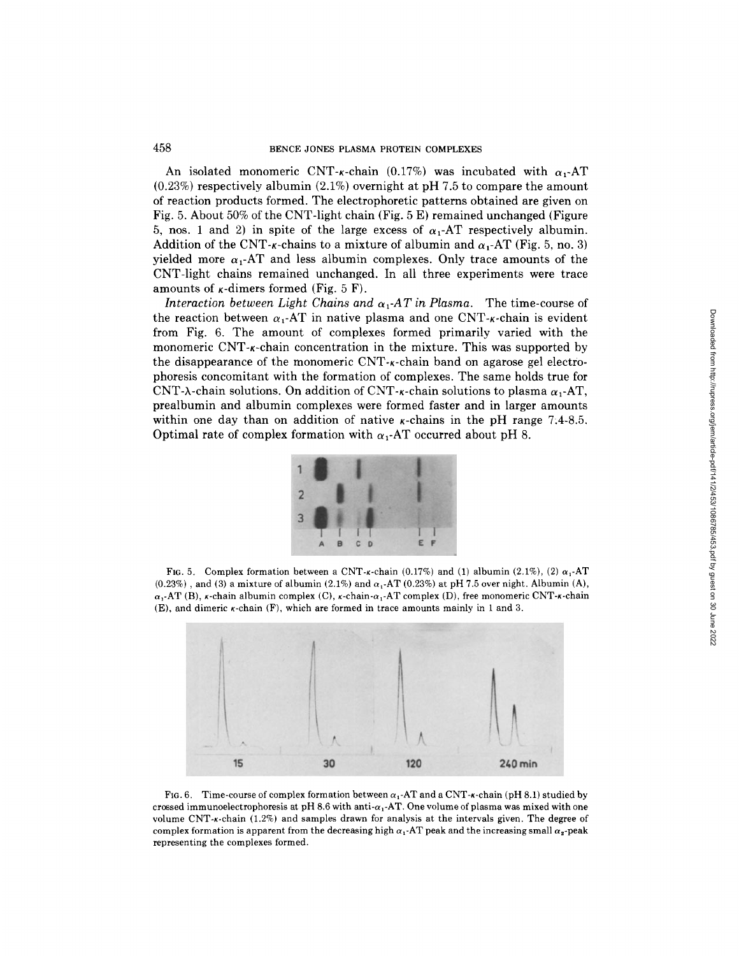An isolated monomeric CNT- $\kappa$ -chain (0.17%) was incubated with  $\alpha_1$ -AT  $(0.23\%)$  respectively albumin  $(2.1\%)$  overnight at pH 7.5 to compare the amount of reaction products formed. The electrophoretic patterns obtained are given on Fig. 5. About 50% of the CNT-light chain (Fig. 5 E) remained unchanged (Figure 5, nos. 1 and 2) in spite of the large excess of  $\alpha_1$ -AT respectively albumin. Addition of the CNT- $\kappa$ -chains to a mixture of albumin and  $\alpha_1$ -AT (Fig. 5, no. 3) yielded more  $\alpha_1$ -AT and less albumin complexes. Only trace amounts of the CNT-light chains remained unchanged . In all three experiments were trace amounts of  $\kappa$ -dimers formed (Fig. 5 F).

Interaction between Light Chains and  $\alpha_1$ -AT in Plasma. The time-course of the reaction between  $\alpha_1$ -AT in native plasma and one CNT- $\kappa$ -chain is evident from Fig. 6. The amount of complexes formed primarily varied with the monomeric CNT- $\kappa$ -chain concentration in the mixture. This was supported by the disappearance of the monomeric  $\text{CNT-}\kappa$ -chain band on agarose gel electrophoresis concomitant with the formation of complexes . The same holds true for CNT- $\lambda$ -chain solutions. On addition of CNT- $\kappa$ -chain solutions to plasma  $\alpha_1$ -AT, prealbumin and albumin complexes were formed faster and in larger amounts within one day than on addition of native  $\kappa$ -chains in the pH range 7.4-8.5. Optimal rate of complex formation with  $\alpha_1$ -AT occurred about pH 8.



FIG. 5. Complex formation between a CNT- $\kappa$ -chain (0.17%) and (1) albumin (2.1%), (2)  $\alpha_1$ -AT  $(0.23\%)$ , and (3) a mixture of albumin  $(2.1\%)$  and  $\alpha_1$ -AT  $(0.23\%)$  at pH 7.5 over night. Albumin (A),  $\alpha_1$ -AT (B), *k*-chain albumin complex (C), *k*-chain- $\alpha_1$ -AT complex (D), free monomeric CNT-*k*-chain  $(E)$ , and dimeric  $\kappa$ -chain  $(F)$ , which are formed in trace amounts mainly in 1 and 3.



FIG. 6. Time-course of complex formation between  $\alpha_1$ -AT and a CNT- $\kappa$ -chain (pH 8.1) studied by crossed immunoelectrophoresis at pH 8.6 with anti- $\alpha_1$ -AT. One volume of plasma was mixed with one volume CNT-k-chain (1.2%) and samples drawn for analysis at the intervals given. The degree of complex formation is apparent from the decreasing high  $\alpha_1$ -AT peak and the increasing small  $\alpha_2$ -peak representing the complexes formed.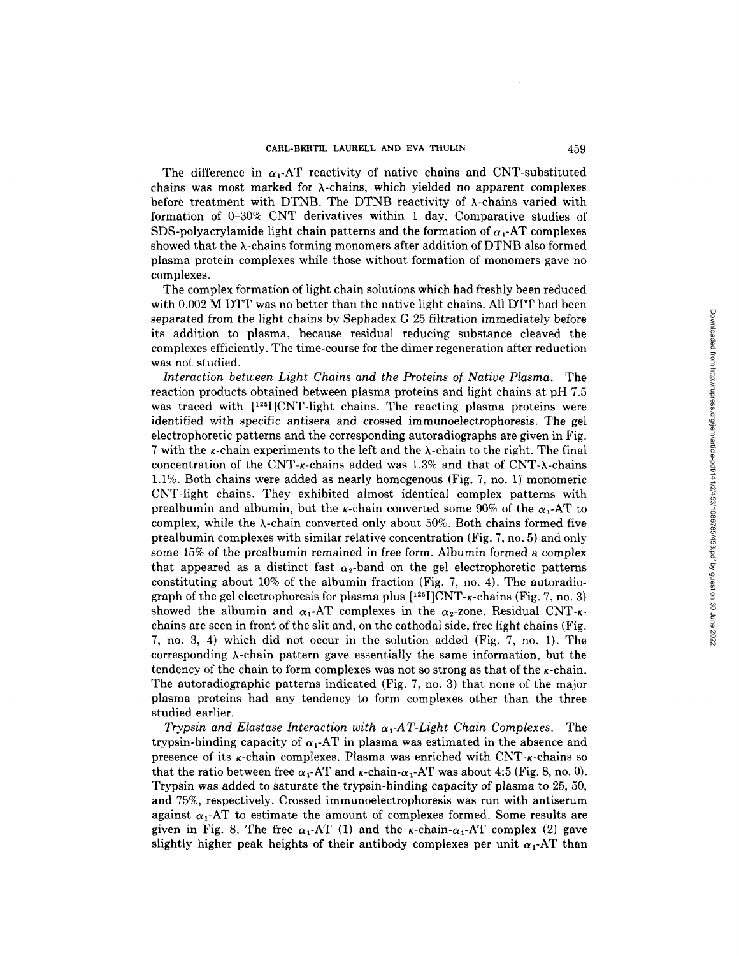The difference in  $\alpha_1$ -AT reactivity of native chains and CNT-substituted chains was most marked for  $\lambda$ -chains, which yielded no apparent complexes before treatment with DTNB. The DTNB reactivity of  $\lambda$ -chains varied with formation of 0-30% CNT derivatives within 1 day. Comparative studies of SDS-polyacrylamide light chain patterns and the formation of  $\alpha_1$ -AT complexes showed that the  $\lambda$ -chains forming monomers after addition of DTNB also formed plasma protein complexes while those without formation of monomers gave no complexes .

The complex formation of light chain solutions which had freshly been reduced with 0.002 M DTT was no better than the native light chains. All DTT had been<br>concerted from the light chains by Sankedov C 35 filtration immediately hefere separated from the light chains by Sephadex G <sup>25</sup> filtration immediately before its addition to plasma, because residual reducing substance cleaved the complexes efficiently . The time-course for the dimer regeneration after reduction was not studied .

Interaction between Light Chains and the Proteins of Native Plasma . The reaction products obtained between plasma proteins and light chains at pH 7.5 was traced with [<sup>125</sup>I]CNT-light chains. The reacting plasma proteins were identified with specific antisera and crossed immunoelectrophoresis . The gel electrophoretic patterns and the corresponding autoradiographs are given in Fig. 7 with the  $\kappa$ -chain experiments to the left and the  $\lambda$ -chain to the right. The final concentration of the CNT- $\kappa$ -chains added was 1.3% and that of CNT- $\lambda$ -chains <sup>1</sup> .1% . Both chains were added as nearly homogenous (Fig . 7, no. 1) monomeric CNT-light chains . They exhibited almost identical complex patterns with prealbumin and albumin, but the  $\kappa$ -chain converted some 90% of the  $\alpha_1$ -AT to complex, while the  $\lambda$ -chain converted only about 50%. Both chains formed five prealbumin complexes with similar relative concentration (Fig . 7, no . 5) and only some 15% of the prealbumin remained in free form . Albumin formed a complex that appeared as a distinct fast  $\alpha_2$ -band on the gel electrophoretic patterns constituting about 10% of the albumin fraction (Fig . 7, no. 4) . The autoradiograph of the gel electrophoresis for plasma plus  $[1^{25}]CNT - \kappa$ -chains (Fig. 7, no. 3) showed the albumin and  $\alpha_1$ -AT complexes in the  $\alpha_2$ -zone. Residual CNT- $\kappa$ chains are seen in front of the slit and, on the cathodal side, free light chains (Fig. 7, no. 3, 4) which did not occur in the solution added (Fig . 7, no . 1) . The corresponding  $\lambda$ -chain pattern gave essentially the same information, but the tendency of the chain to form complexes was not so strong as that of the  $\kappa$ -chain. The autoradiographic patterns indicated (Fig . 7, no . 3) that none of the major plasma proteins had any tendency to form complexes other than the three studied earlier .

Trypsin and Elastase Interaction with  $\alpha_1$ -AT-Light Chain Complexes. The trypsin-binding capacity of  $\alpha_1$ -AT in plasma was estimated in the absence and presence of its  $\kappa$ -chain complexes. Plasma was enriched with CNT- $\kappa$ -chains so that the ratio between free  $\alpha_1$ -AT and  $\kappa$ -chain- $\alpha_1$ -AT was about 4:5 (Fig. 8, no. 0). Trypsin was added to saturate the trypsin-binding capacity of plasma to 25, 50, and 75%, respectively . Crossed immunoelectrophoresis was run with antiserum against  $\alpha_1$ -AT to estimate the amount of complexes formed. Some results are given in Fig. 8. The free  $\alpha_1$ -AT (1) and the  $\kappa$ -chain- $\alpha_1$ -AT complex (2) gave slightly higher peak heights of their antibody complexes per unit  $\alpha_1$ -AT than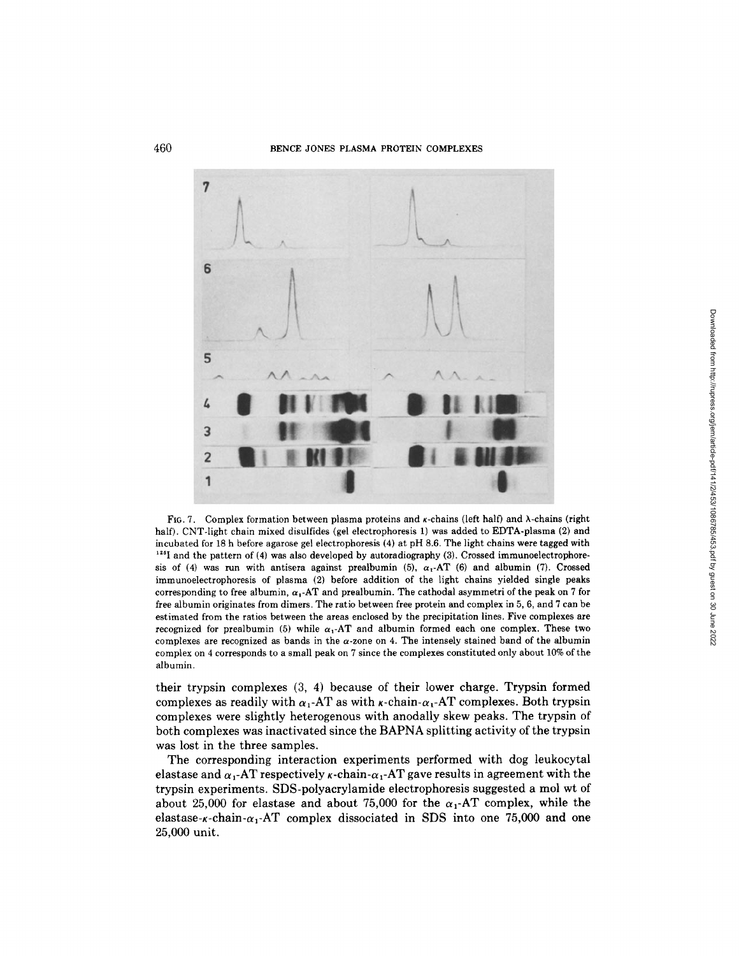## 460 BENCE JONES PLASMA PROTEIN COMPLEXES



FIG. 7. Complex formation between plasma proteins and  $\kappa$ -chains (left half) and  $\lambda$ -chains (right half). CNT-light chain mixed disulfides (gel electrophoresis 1) was added to EDTA-plasma (2) and incubated for <sup>18</sup> h before agarose gel electrophoresis (4) at pH 8.6 . The light chains were tagged with  $^{125}$  and the pattern of (4) was also developed by autoradiography (3). Crossed immunoelectrophoresis of (4) was run with antisera against prealbumin (5),  $\alpha_1$ -AT (6) and albumin (7). Crossed immunoelectrophoresis of plasma (2) before addition of the light chains yielded single peaks corresponding to free albumin,  $\alpha_1$ -AT and prealbumin. The cathodal asymmetri of the peak on 7 for free albumin originates from dimers . The ratio between free protein and complex in 5, 6, and 7 can be estimated from the ratios between the areas enclosed by the precipitation lines . Five complexes are recognized for prealbumin (5) while  $\alpha_1$ -AT and albumin formed each one complex. These two complexes are recognized as bands in the  $\alpha$ -zone on 4. The intensely stained band of the albumin complex on <sup>4</sup> corresponds to a small peak on 7 since the complexes constituted only about 10% of the albumin .

their trypsin complexes  $(3, 4)$  because of their lower charge. Trypsin formed complexes as readily with  $\alpha_1$ -AT as with  $\kappa$ -chain- $\alpha_1$ -AT complexes. Both trypsin complexes were slightly heterogenous with anodally skew peaks. The trypsin of both complexes was inactivated since the BAPNA splitting activity of the trypsin was lost in the three samples.

The corresponding interaction experiments performed with dog leukocytal elastase and  $\alpha_1$ -AT respectively  $\kappa$ -chain- $\alpha_1$ -AT gave results in agreement with the trypsin experiments . SDS-polyacrylamide electrophoresis suggested a mol wt of about 25,000 for elastase and about 75,000 for the  $\alpha_1$ -AT complex, while the elastase- $x$ -chain- $\alpha_1$ -AT complex dissociated in SDS into one 75,000 and one 25,000 unit.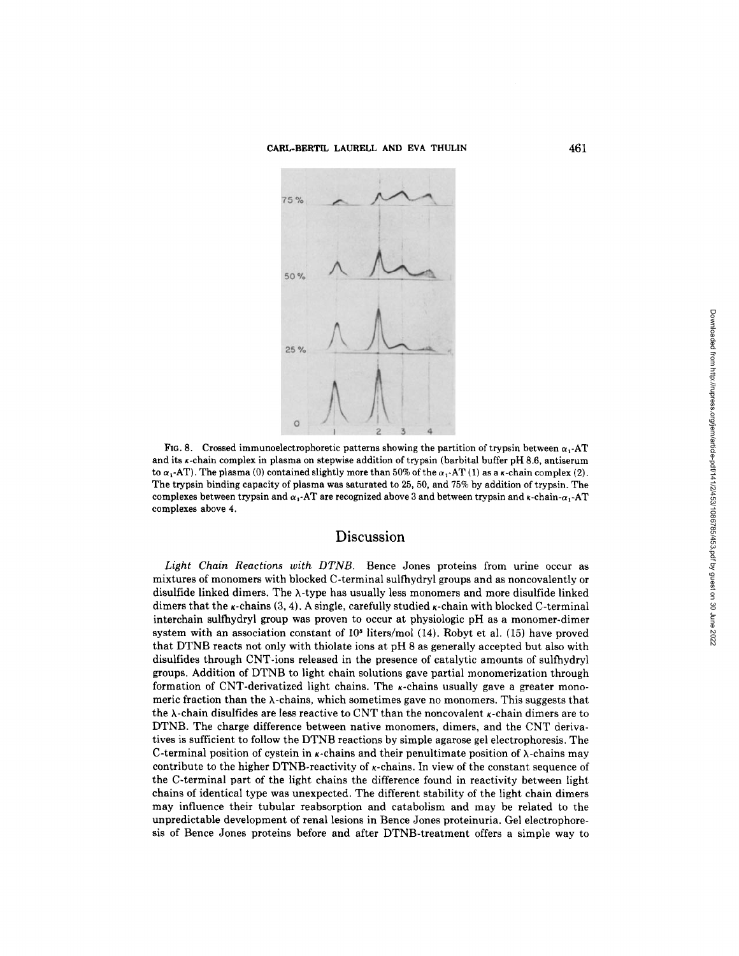

FIG. 8. Crossed immunoelectrophoretic patterns showing the partition of trypsin between  $\alpha_1$ -AT and its x-chain complex in plasma on stepwise addition of trypsin (barbital buffer pH 8.6, antiserum to  $\alpha_1$ -AT). The plasma (0) contained slightly more than 50% of the  $\alpha_1$ -AT (1) as a  $\kappa$ -chain complex (2). The trypsin binding capacity of plasma was saturated to 25, 50, and 75% by addition of trypsin . The complexes between trypsin and  $\alpha_1$ -AT are recognized above 3 and between trypsin and  $\kappa$ -chain- $\alpha_1$ -AT complexes above 4.

# Discussion

Light Chain Reactions with DTNB. Bence Jones proteins from urine occur as mixtures of monomers with blocked C-terminal sulfhydryl groups and as noncovalently or disulfide linked dimers. The  $\lambda$ -type has usually less monomers and more disulfide linked dimers that the  $\kappa$ -chains (3, 4). A single, carefully studied  $\kappa$ -chain with blocked C-terminal interchain sulfhydryl group was proven to occur at physiologic pH as a monomer-dimer system with an association constant of  $10<sup>5</sup>$  liters/mol (14). Robyt et al. (15) have proved that DTNB reacts not only with thiolate ions at pH 8 as generally accepted but also with disulfides through CNT-ions released in the presence of catalytic amounts of sulfhydryl groups . Addition of DTNB to light chain solutions gave partial monomerization through formation of CNT-derivatized light chains. The  $\kappa$ -chains usually gave a greater monomeric fraction than the  $\lambda$ -chains, which sometimes gave no monomers. This suggests that the  $\lambda$ -chain disulfides are less reactive to CNT than the noncovalent  $\kappa$ -chain dimers are to DTNB. The charge difference between native monomers, dimers, and the CNT derivatives is sufficient to follow the DTNB reactions by simple agarose gel electrophoresis. The C-terminal position of cystein in  $\kappa$ -chains and their penultimate position of  $\lambda$ -chains may contribute to the higher DTNB-reactivity of  $\kappa$ -chains. In view of the constant sequence of the C-terminal part of the light chains the difference found in reactivity between light chains of identical type was unexpected. The different stability of the light chain dimers may influence their tubular reabsorption and catabolism and may be related to the unpredictable development of renal lesions in Bence Jones proteinuria . Gel electrophoresis of Bence Jones proteins before and after DTNB-treatment offers a simple way to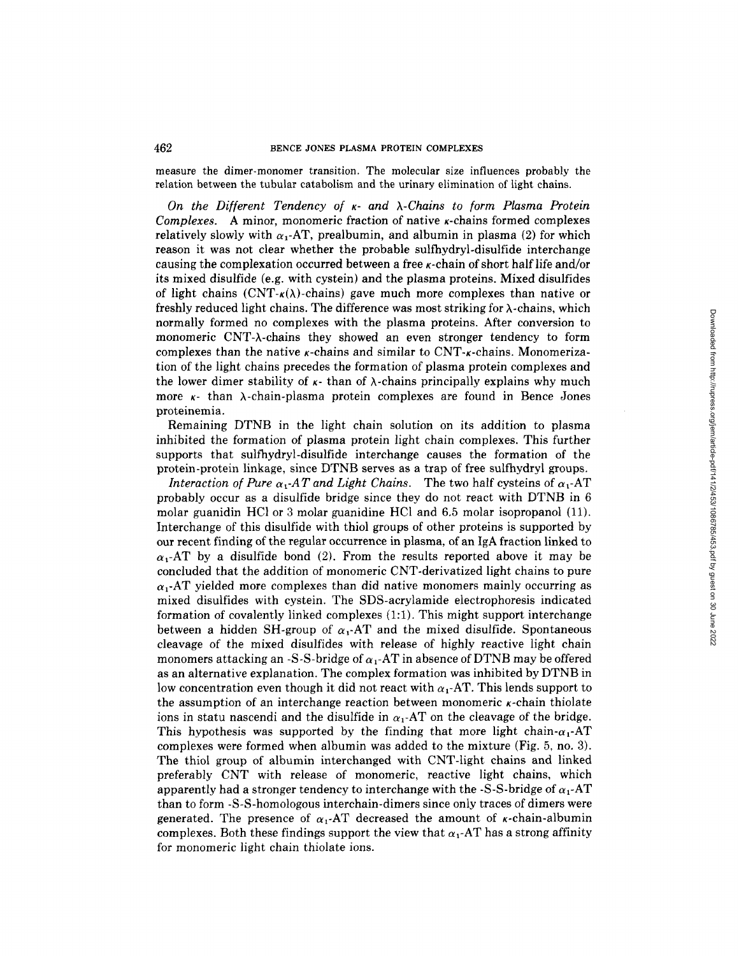#### 462 BENCE JONES PLASMA PROTEIN COMPLEXES

measure the dimer-monomer transition . The molecular size influences probably the relation between the tubular catabolism and the urinary elimination of light chains .

On the Different Tendency of  $\kappa$ - and  $\lambda$ -Chains to form Plasma Protein Complexes. A minor, monomeric fraction of native  $\kappa$ -chains formed complexes relatively slowly with  $\alpha_1$ -AT, prealbumin, and albumin in plasma (2) for which reason it was not clear whether the probable sulfhydryl-disulfide interchange causing the complexation occurred between a free  $\kappa$ -chain of short half life and/or its mixed disulfide (e.g. with cystein) and the plasma proteins. Mixed disulfides of light chains (CNT- $\kappa(\lambda)$ -chains) gave much more complexes than native or freshly reduced light chains. The difference was most striking for  $\lambda$ -chains, which normally formed no complexes with the plasma proteins . After conversion to monomeric CNT-A-chains they showed an even stronger tendency to form  $complexes$  than the native  $\kappa$ -chains and similar to  $CNT-\kappa$ -chains. Monomerization of the light chains precedes the formation of plasma protein complexes and the lower dimer stability of  $\kappa$ - than of  $\lambda$ -chains principally explains why much more  $\kappa$ - than  $\lambda$ -chain-plasma protein complexes are found in Bence Jones proteinemia .

Remaining DTNB in the light chain solution on its addition to plasma inhibited the formation of plasma protein light chain complexes. This further supports that sulfhydryl-disulfide interchange causes the formation of the protein-protein linkage, since DTNB serves as a trap of free sulfhydryl groups.

Interaction of Pure  $\alpha_1$ -AT and Light Chains. The two half cysteins of  $\alpha_1$ -AT probably occur as a disulfide bridge since they do not react with DTNB in 6 molar guanidin HCl or 3 molar guanidine HCl and 6.5 molar isopropanol (11) . Interchange of this disulfide with thiol groups of other proteins is supported by our recent finding of the regular occurrence in plasma, of an IgA fraction linked to  $\alpha_1$ -AT by a disulfide bond (2). From the results reported above it may be concluded that the addition of monomeric CNT-derivatized light chains to pure  $\alpha_1$ -AT yielded more complexes than did native monomers mainly occurring as mixed disulfides with cystein . The SDS-acrylamide electrophoresis indicated formation of covalently linked complexes  $(1:1)$ . This might support interchange between a hidden SH-group of  $\alpha_1$ -AT and the mixed disulfide. Spontaneous cleavage of the mixed disulfides with release of highly reactive light chain monomers attacking an -S-S-bridge of  $\alpha_1$ -AT in absence of DTNB may be offered as an alternative explanation . The complex formation was inhibited by DTNB in low concentration even though it did not react with  $\alpha_1$ -AT. This lends support to the assumption of an interchange reaction between monomeric  $\kappa$ -chain thiolate ions in statu nascendi and the disulfide in  $\alpha_1$ -AT on the cleavage of the bridge. This hypothesis was supported by the finding that more light chain- $\alpha_1$ -AT complexes were formed when albumin was added to the mixture (Fig . 5, no. 3) . The thiol group of albumin interchanged with CNT-light chains and linked preferably CNT with release of monomeric, reactive light chains, which apparently had a stronger tendency to interchange with the -S-S-bridge of  $\alpha_1$ -AT than to form -S-S-homologous interchain-dimers since only traces of dimers were generated. The presence of  $\alpha_1$ -AT decreased the amount of *k*-chain-albumin complexes. Both these findings support the view that  $\alpha_1$ -AT has a strong affinity for monomeric light chain thiolate ions .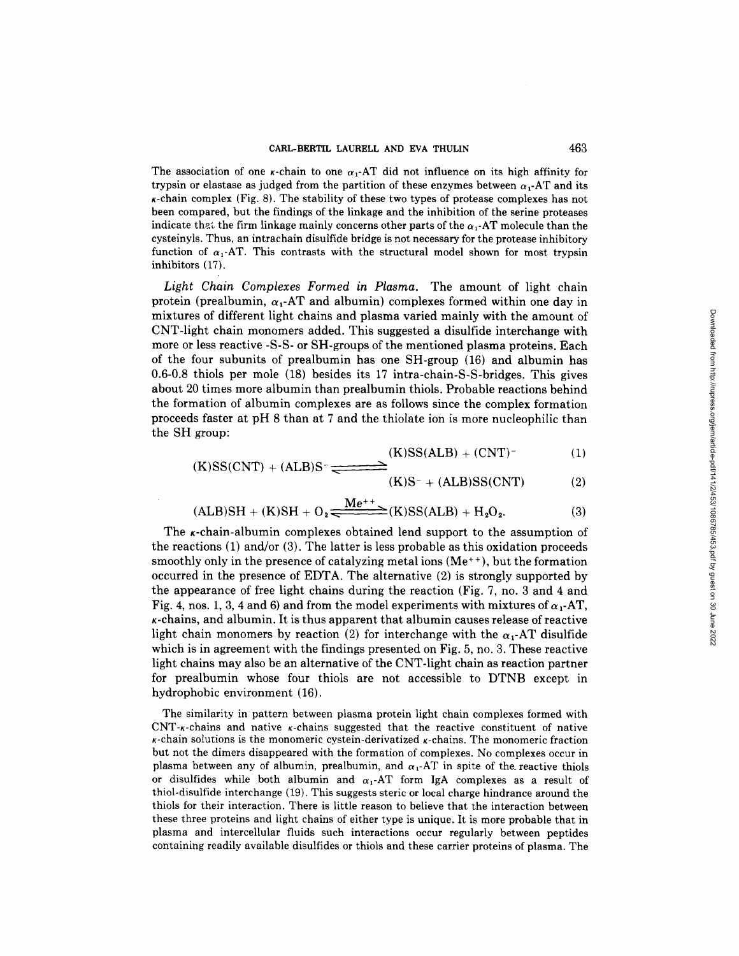The association of one  $\kappa$ -chain to one  $\alpha_1$ -AT did not influence on its high affinity for trypsin or elastase as judged from the partition of these enzymes between  $\alpha_1$ -AT and its K-chain complex (Fig . 8) . The stability of these two types of protease complexes has not been compared, but the findings of the linkage and the inhibition of the serine proteases indicate that the firm linkage mainly concerns other parts of the  $\alpha_1$ -AT molecule than the cysteinyls . Thus, an intrachain disulfide bridge is not necessary for the protease inhibitory function of  $\alpha_1$ -AT. This contrasts with the structural model shown for most trypsin inhibitors (17) .

Light Chain Complexes Formed in Plasma . The amount of light chain protein (prealbumin,  $\alpha_1$ -AT and albumin) complexes formed within one day in mixtures of different light chains and plasma varied mainly with the amount of CNT-light chain monomers added . This suggested a disulfide interchange with more or less reactive -S-S- or SH-groups of the mentioned plasma proteins . Each of the four subunits of prealbumin has one SH-group (16) and albumin has 0 .6-0 .8 thiols per mole (18) besides its 17 intra-chain-S-S-bridges . This gives about 20 times more albumin than prealbumin thiols . Probable reactions behind the formation of albumin complexes are as follows since the complex formation proceeds faster at pH 8 than at 7 and the thiolate ion is more nucleophilic than the SH group:

$$
(K)SS(ALB) + (CNT)^{-}
$$
 (1)

$$
(K)SS(CNT) + (ALB)S^- \longrightarrow
$$

$$
(K)S^{-} + (ALB)SS(CNT)
$$
 (2)

$$
(ALB)SH + (K)SH + O2 \xleftarrow{Me^{++}} (K)SS(ALB) + H2O2.
$$
 (3)

The  $\kappa$ -chain-albumin complexes obtained lend support to the assumption of the reactions (1) and/or (3) . The latter is less probable as this oxidation proceeds smoothly only in the presence of catalyzing metal ions  $(Me^{++})$ , but the formation occurred in the presence of EDTA. The alternative (2) is strongly supported by the appearance of free light chains during the reaction (Fig . 7, no. 3 and 4 and Fig. 4, nos. 1, 3, 4 and 6) and from the model experiments with mixtures of  $\alpha_1$ -AT,  $\kappa$ -chains, and albumin. It is thus apparent that albumin causes release of reactive light chain monomers by reaction (2) for interchange with the  $\alpha_1$ -AT disulfide which is in agreement with the findings presented on Fig . 5, no . 3 . These reactive light chains may also be an alternative of the CNT-light chain as reaction partner for prealbumin whose four thiols are not accessible to DTNB except in hydrophobic environment (16) .

The similarity in pattern between plasma protein light chain complexes formed with  $CNT$ -chains and native  $\kappa$ -chains suggested that the reactive constituent of native  $\kappa$ -chain solutions is the monomeric cystein-derivatized  $\kappa$ -chains. The monomeric fraction but not the dimers disappeared with the formation of complexes . No complexes occur in plasma between any of albumin, prealbumin, and  $\alpha_1$ -AT in spite of the reactive thiols or disulfides while both albumin and  $\alpha_1$ -AT form IgA complexes as a result of thiol-disulfide interchange (19) . This suggests steric or local charge hindrance around the thiols for their interaction . There is little reason to believe that the interaction between these three proteins and light chains of either type is unique . It is more probable that in plasma and intercellular fluids such interactions occur regularly between peptides containing readily available disulfides or thiols and these carrier proteins of plasma . The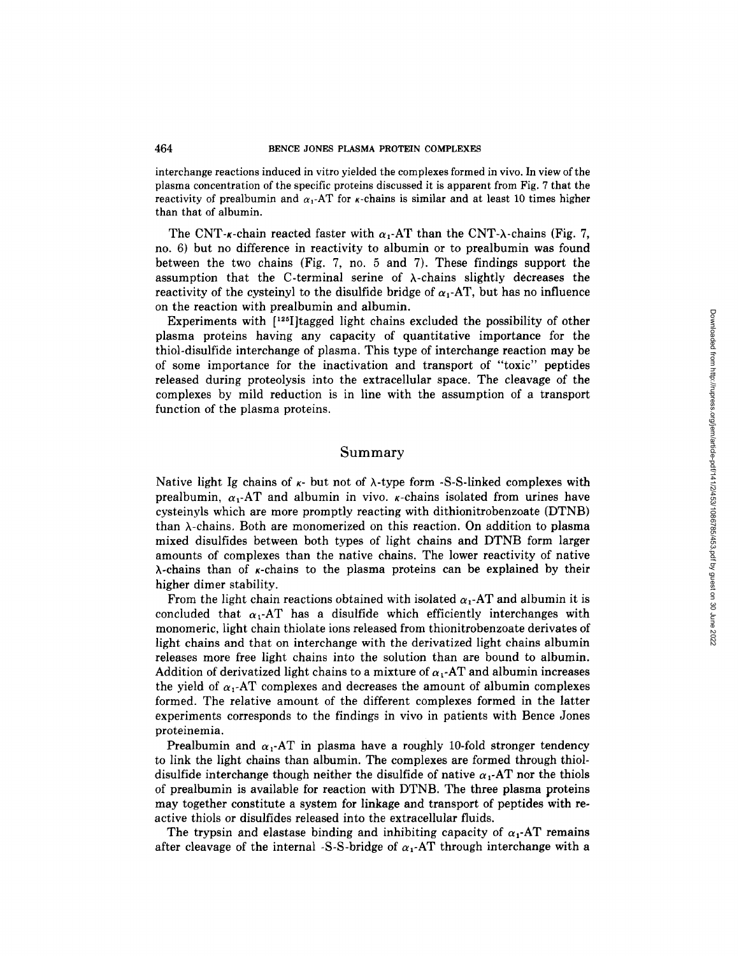interchange reactions induced in vitro yielded the complexes formed in vivo . In view of the plasma concentration of the specific proteins discussed it is apparent from Fig. 7 that the reactivity of prealbumin and  $\alpha_1$ -AT for  $\kappa$ -chains is similar and at least 10 times higher than that of albumin.

The CNT- $\kappa$ -chain reacted faster with  $\alpha_1$ -AT than the CNT- $\lambda$ -chains (Fig. 7, no. 6) but no difference in reactivity to albumin or to prealbumin was found between the two chains (Fig . 7, no . 5 and 7) . These findings support the assumption that the C-terminal serine of  $\lambda$ -chains slightly decreases the reactivity of the cysteinyl to the disulfide bridge of  $\alpha_1$ -AT, but has no influence on the reaction with prealbumin and albumin.

Experiments with  $[125]$  ltagged light chains excluded the possibility of other plasma proteins having any capacity of quantitative importance for the thiol-disulfide interchange of plasma . This type of interchange reaction may be of some importance for the inactivation and transport of "toxic" peptides released during proteolysis into the extracellular space. The cleavage of the complexes by mild reduction is in line with the assumption of a transport function of the plasma proteins .

## Summary

Native light Ig chains of  $\kappa$ - but not of  $\lambda$ -type form -S-S-linked complexes with prealbumin,  $\alpha_1$ -AT and albumin in vivo.  $\kappa$ -chains isolated from urines have cysteinyls which are more promptly reacting with dithionitrobenzoate (DTNB) than  $\lambda$ -chains. Both are monomerized on this reaction. On addition to plasma mixed disulfides between both types of light chains and DTNB form larger amounts of complexes than the native chains . The lower reactivity of native  $\lambda$ -chains than of *k*-chains to the plasma proteins can be explained by their higher dimer stability .

From the light chain reactions obtained with isolated  $\alpha_1$ -AT and albumin it is concluded that  $\alpha_1$ -AT has a disulfide which efficiently interchanges with monomeric, light chain thiolate ions released from thionitrobenzoate derivates of light chains and that on interchange with the derivatized light chains albumin releases more free light chains into the solution than are bound to albumin. Addition of derivatized light chains to a mixture of  $\alpha_1$ -AT and albumin increases the yield of  $\alpha_1$ -AT complexes and decreases the amount of albumin complexes formed . The relative amount of the different complexes formed in the latter experiments corresponds to the findings in vivo in patients with Bence Jones proteinemia.

Prealbumin and  $\alpha_1$ -AT in plasma have a roughly 10-fold stronger tendency to link the light chains than albumin . The complexes are formed through thioldisulfide interchange though neither the disulfide of native  $\alpha_1$ -AT nor the thiols of prealbumin is available for reaction with DTNB. The three plasma proteins may together constitute a system for linkage and transport of peptides with reactive thiols or disulfides released into the extracellular fluids .

The trypsin and elastase binding and inhibiting capacity of  $\alpha_1$ -AT remains after cleavage of the internal -S-S-bridge of  $\alpha_1$ -AT through interchange with a